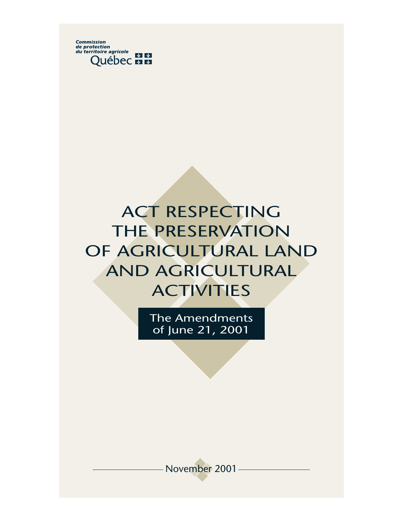

# ACT RESPECTING THE PRESERVATION OF AGRICULTURAL LAND AND AGRICULTURAL **ACTIVITIES**

The Amendments of June 21, 2001

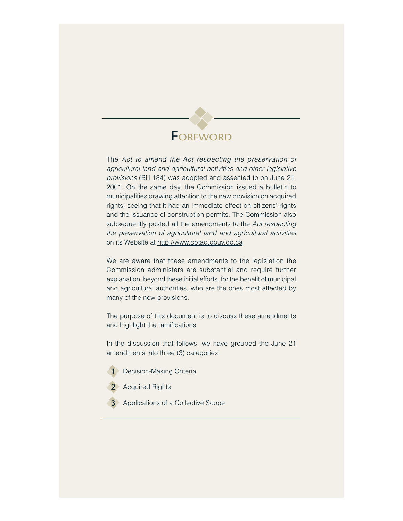# **FOREWORD**

The Act to amend the Act respecting the preservation of agricultural land and agricultural activities and other legislative provisions (Bill 184) was adopted and assented to on June 21, 2001. On the same day, the Commission issued a bulletin to municipalities drawing attention to the new provision on acquired rights, seeing that it had an immediate effect on citizens' rights and the issuance of construction permits. The Commission also subsequently posted all the amendments to the Act respecting the preservation of agricultural land and agricultural activities on its Website at http://www.cptaq.gouv.qc.ca

We are aware that these amendments to the legislation the Commission administers are substantial and require further explanation, beyond these initial efforts, for the benefit of municipal and agricultural authorities, who are the ones most affected by many of the new provisions.

The purpose of this document is to discuss these amendments and highlight the ramifications.

In the discussion that follows, we have grouped the June 21 amendments into three (3) categories:

- Decision-Making Criteria
- **2 Acquired Rights**
- **3** Applications of a Collective Scope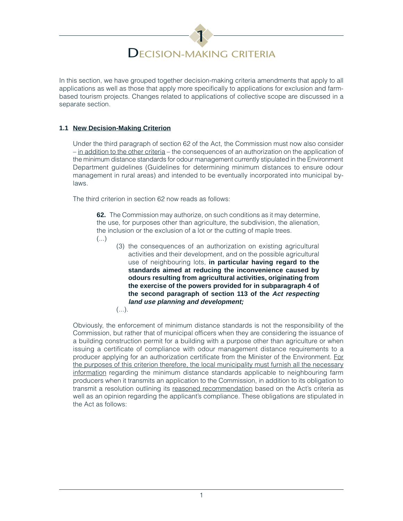# 1 DECISION-MAKING CRITERIA

In this section, we have grouped together decision-making criteria amendments that apply to all applications as well as those that apply more specifically to applications for exclusion and farmbased tourism projects. Changes related to applications of collective scope are discussed in a separate section.

# **1.1 New Decision-Making Criterion**

Under the third paragraph of section 62 of the Act, the Commission must now also consider – in addition to the other criteria – the consequences of an authorization on the application of the minimum distance standards for odour management currently stipulated in the Environment Department guidelines (Guidelines for determining minimum distances to ensure odour management in rural areas) and intended to be eventually incorporated into municipal bylaws.

The third criterion in section 62 now reads as follows:

**62.** The Commission may authorize, on such conditions as it may determine, the use, for purposes other than agriculture, the subdivision, the alienation, the inclusion or the exclusion of a lot or the cutting of maple trees.

- (...)
- (3) the consequences of an authorization on existing agricultural activities and their development, and on the possible agricultural use of neighbouring lots, **in particular having regard to the standards aimed at reducing the inconvenience caused by odours resulting from agricultural activities, originating from the exercise of the powers provided for in subparagraph 4 of the second paragraph of section 113 of the Act respecting land use planning and development;**
- $(\ldots).$

Obviously, the enforcement of minimum distance standards is not the responsibility of the Commission, but rather that of municipal officers when they are considering the issuance of a building construction permit for a building with a purpose other than agriculture or when issuing a certificate of compliance with odour management distance requirements to a producer applying for an authorization certificate from the Minister of the Environment. For the purposes of this criterion therefore, the local municipality must furnish all the necessary information regarding the minimum distance standards applicable to neighbouring farm producers when it transmits an application to the Commission, in addition to its obligation to transmit a resolution outlining its reasoned recommendation based on the Act's criteria as well as an opinion regarding the applicant's compliance. These obligations are stipulated in the Act as follows: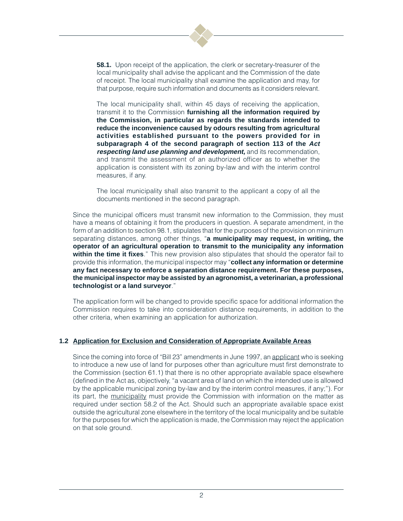

**58.1.** Upon receipt of the application, the clerk or secretary-treasurer of the local municipality shall advise the applicant and the Commission of the date of receipt. The local municipality shall examine the application and may, for that purpose, require such information and documents as it considers relevant.

The local municipality shall, within 45 days of receiving the application, transmit it to the Commission **furnishing all the information required by the Commission, in particular as regards the standards intended to reduce the inconvenience caused by odours resulting from agricultural activities established pursuant to the powers provided for in subparagraph 4 of the second paragraph of section 113 of the Act respecting land use planning and development,** and its recommendation, and transmit the assessment of an authorized officer as to whether the application is consistent with its zoning by-law and with the interim control measures, if any.

The local municipality shall also transmit to the applicant a copy of all the documents mentioned in the second paragraph.

Since the municipal officers must transmit new information to the Commission, they must have a means of obtaining it from the producers in question. A separate amendment, in the form of an addition to section 98.1, stipulates that for the purposes of the provision on minimum separating distances, among other things, "**a municipality may request, in writing, the operator of an agricultural operation to transmit to the municipality any information within the time it fixes**." This new provision also stipulates that should the operator fail to provide this information, the municipal inspector may "**collect any information or determine any fact necessary to enforce a separation distance requirement. For these purposes, the municipal inspector may be assisted by an agronomist, a veterinarian, a professional technologist or a land surveyor**."

The application form will be changed to provide specific space for additional information the Commission requires to take into consideration distance requirements, in addition to the other criteria, when examining an application for authorization.

# **1.2 Application for Exclusion and Consideration of Appropriate Available Areas**

Since the coming into force of "Bill 23" amendments in June 1997, an applicant who is seeking to introduce a new use of land for purposes other than agriculture must first demonstrate to the Commission (section 61.1) that there is no other appropriate available space elsewhere (defined in the Act as, objectively, "a vacant area of land on which the intended use is allowed by the applicable municipal zoning by-law and by the interim control measures, if any;"). For its part, the municipality must provide the Commission with information on the matter as required under section 58.2 of the Act. Should such an appropriate available space exist outside the agricultural zone elsewhere in the territory of the local municipality and be suitable for the purposes for which the application is made, the Commission may reject the application on that sole ground.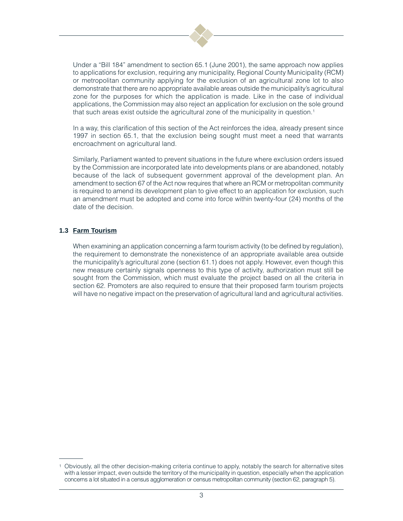

Under a "Bill 184" amendment to section 65.1 (June 2001), the same approach now applies to applications for exclusion, requiring any municipality, Regional County Municipality (RCM) or metropolitan community applying for the exclusion of an agricultural zone lot to also demonstrate that there are no appropriate available areas outside the municipality's agricultural zone for the purposes for which the application is made. Like in the case of individual applications, the Commission may also reject an application for exclusion on the sole ground that such areas exist outside the agricultural zone of the municipality in question.<sup>1</sup>

In a way, this clarification of this section of the Act reinforces the idea, already present since 1997 in section 65.1, that the exclusion being sought must meet a need that warrants encroachment on agricultural land.

Similarly, Parliament wanted to prevent situations in the future where exclusion orders issued by the Commission are incorporated late into developments plans or are abandoned, notably because of the lack of subsequent government approval of the development plan. An amendment to section 67 of the Act now requires that where an RCM or metropolitan community is required to amend its development plan to give effect to an application for exclusion, such an amendment must be adopted and come into force within twenty-four (24) months of the date of the decision.

# **1.3 Farm Tourism**

When examining an application concerning a farm tourism activity (to be defined by regulation), the requirement to demonstrate the nonexistence of an appropriate available area outside the municipality's agricultural zone (section 61.1) does not apply. However, even though this new measure certainly signals openness to this type of activity, authorization must still be sought from the Commission, which must evaluate the project based on all the criteria in section 62. Promoters are also required to ensure that their proposed farm tourism projects will have no negative impact on the preservation of agricultural land and agricultural activities.

<sup>1</sup> Obviously, all the other decision-making criteria continue to apply, notably the search for alternative sites with a lesser impact, even outside the territory of the municipality in question, especially when the application concerns a lot situated in a census agglomeration or census metropolitan community (section 62, paragraph 5).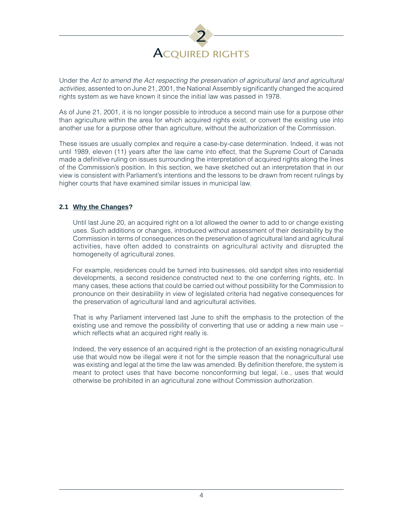

Under the Act to amend the Act respecting the preservation of agricultural land and agricultural activities, assented to on June 21, 2001, the National Assembly significantly changed the acquired rights system as we have known it since the initial law was passed in 1978.

As of June 21, 2001, it is no longer possible to introduce a second main use for a purpose other than agriculture within the area for which acquired rights exist, or convert the existing use into another use for a purpose other than agriculture, without the authorization of the Commission.

These issues are usually complex and require a case-by-case determination. Indeed, it was not until 1989, eleven (11) years after the law came into effect, that the Supreme Court of Canada made a definitive ruling on issues surrounding the interpretation of acquired rights along the lines of the Commission's position. In this section, we have sketched out an interpretation that in our view is consistent with Parliament's intentions and the lessons to be drawn from recent rulings by higher courts that have examined similar issues in municipal law.

# **2.1 Why the Changes?**

Until last June 20, an acquired right on a lot allowed the owner to add to or change existing uses. Such additions or changes, introduced without assessment of their desirability by the Commission in terms of consequences on the preservation of agricultural land and agricultural activities, have often added to constraints on agricultural activity and disrupted the homogeneity of agricultural zones.

For example, residences could be turned into businesses, old sandpit sites into residential developments, a second residence constructed next to the one conferring rights, etc. In many cases, these actions that could be carried out without possibility for the Commission to pronounce on their desirability in view of legislated criteria had negative consequences for the preservation of agricultural land and agricultural activities.

That is why Parliament intervened last June to shift the emphasis to the protection of the existing use and remove the possibility of converting that use or adding a new main use which reflects what an acquired right really is.

Indeed, the very essence of an acquired right is the protection of an existing nonagricultural use that would now be illegal were it not for the simple reason that the nonagricultural use was existing and legal at the time the law was amended. By definition therefore, the system is meant to protect uses that have become nonconforming but legal, i.e., uses that would otherwise be prohibited in an agricultural zone without Commission authorization.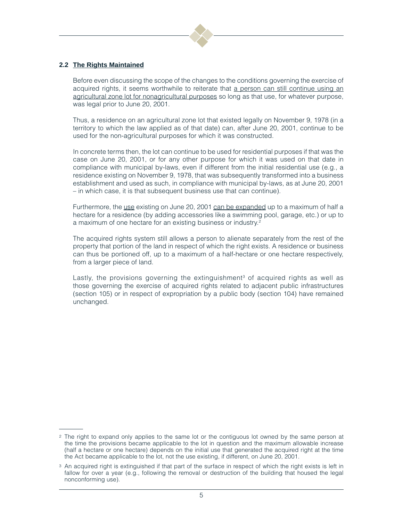

# **2.2 The Rights Maintained**

Before even discussing the scope of the changes to the conditions governing the exercise of acquired rights, it seems worthwhile to reiterate that a person can still continue using an agricultural zone lot for nonagricultural purposes so long as that use, for whatever purpose, was legal prior to June 20, 2001.

Thus, a residence on an agricultural zone lot that existed legally on November 9, 1978 (in a territory to which the law applied as of that date) can, after June 20, 2001, continue to be used for the non-agricultural purposes for which it was constructed.

In concrete terms then, the lot can continue to be used for residential purposes if that was the case on June 20, 2001, or for any other purpose for which it was used on that date in compliance with municipal by-laws, even if different from the initial residential use (e.g., a residence existing on November 9, 1978, that was subsequently transformed into a business establishment and used as such, in compliance with municipal by-laws, as at June 20, 2001 – in which case, it is that subsequent business use that can continue).

Furthermore, the use existing on June 20, 2001 can be expanded up to a maximum of half a hectare for a residence (by adding accessories like a swimming pool, garage, etc.) or up to a maximum of one hectare for an existing business or industry.<sup>2</sup>

The acquired rights system still allows a person to alienate separately from the rest of the property that portion of the land in respect of which the right exists. A residence or business can thus be portioned off, up to a maximum of a half-hectare or one hectare respectively, from a larger piece of land.

Lastly, the provisions governing the extinguishment<sup>3</sup> of acquired rights as well as those governing the exercise of acquired rights related to adjacent public infrastructures (section 105) or in respect of expropriation by a public body (section 104) have remained unchanged.

<sup>&</sup>lt;sup>2</sup> The right to expand only applies to the same lot or the contiguous lot owned by the same person at the time the provisions became applicable to the lot in question and the maximum allowable increase (half a hectare or one hectare) depends on the initial use that generated the acquired right at the time the Act became applicable to the lot, not the use existing, if different, on June 20, 2001.

<sup>&</sup>lt;sup>3</sup> An acquired right is extinguished if that part of the surface in respect of which the right exists is left in fallow for over a year (e.g., following the removal or destruction of the building that housed the legal nonconforming use).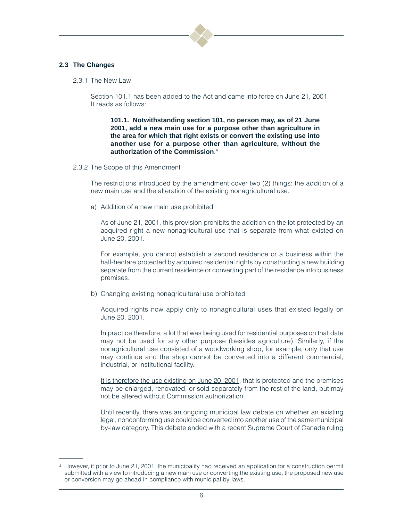

# **2.3 The Changes**

2.3.1 The New Law

Section 101.1 has been added to the Act and came into force on June 21, 2001. It reads as follows:

**101.1. Notwithstanding section 101, no person may, as of 21 June 2001, add a new main use for a purpose other than agriculture in the area for which that right exists or convert the existing use into another use for a purpose other than agriculture, without the authorization of the Commission**. 4

2.3.2 The Scope of this Amendment

The restrictions introduced by the amendment cover two (2) things: the addition of a new main use and the alteration of the existing nonagricultural use.

a) Addition of a new main use prohibited

As of June 21, 2001, this provision prohibits the addition on the lot protected by an acquired right a new nonagricultural use that is separate from what existed on June 20, 2001.

For example, you cannot establish a second residence or a business within the half-hectare protected by acquired residential rights by constructing a new building separate from the current residence or converting part of the residence into business premises.

b) Changing existing nonagricultural use prohibited

Acquired rights now apply only to nonagricultural uses that existed legally on June 20, 2001.

In practice therefore, a lot that was being used for residential purposes on that date may not be used for any other purpose (besides agriculture). Similarly, if the nonagricultural use consisted of a woodworking shop, for example, only that use may continue and the shop cannot be converted into a different commercial, industrial, or institutional facility.

It is therefore the use existing on June 20, 2001, that is protected and the premises may be enlarged, renovated, or sold separately from the rest of the land, but may not be altered without Commission authorization.

Until recently, there was an ongoing municipal law debate on whether an existing legal, nonconforming use could be converted into another use of the same municipal by-law category. This debate ended with a recent Supreme Court of Canada ruling

<sup>4</sup> However, if prior to June 21, 2001, the municipality had received an application for a construction permit submitted with a view to introducing a new main use or converting the existing use, the proposed new use or conversion may go ahead in compliance with municipal by-laws.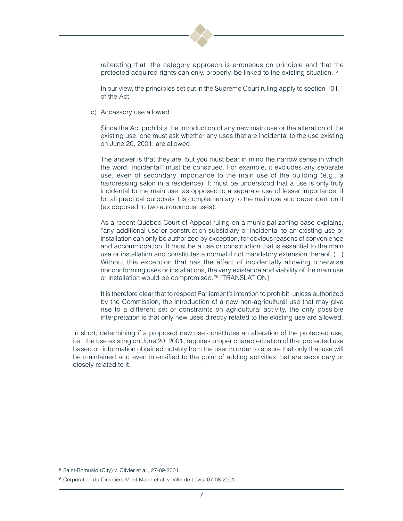

reiterating that "the category approach is erroneous on principle and that the protected acquired rights can only, properly, be linked to the existing situation."5

In our view, the principles set out in the Supreme Court ruling apply to section 101.1 of the Act.

c) Accessory use allowed

Since the Act prohibits the introduction of any new main use or the alteration of the existing use, one must ask whether any uses that are incidental to the use existing on June 20, 2001, are allowed.

The answer is that they are, but you must bear in mind the narrow sense in which the word "incidental" must be construed. For example, it excludes any separate use, even of secondary importance to the main use of the building (e.g., a hairdressing salon in a residence). It must be understood that a use is only truly incidental to the main use, as opposed to a separate use of lesser importance, if for all practical purposes it is complementary to the main use and dependent on it (as opposed to two autonomous uses).

As a recent Québec Court of Appeal ruling on a municipal zoning case explains, "any additional use or construction subsidiary or incidental to an existing use or installation can only be authorized by exception, for obvious reasons of convenience and accommodation. It must be a use or construction that is essential to the main use or installation and constitutes a normal if not mandatory extension thereof. (...) Without this exception that has the effect of incidentally allowing otherwise nonconforming uses or installations, the very existence and viability of the main use or installation would be compromised."6 [TRANSLATION]

It is therefore clear that to respect Parliament's intention to prohibit, unless authorized by the Commission, the introduction of a new non-agricultural use that may give rise to a different set of constraints on agricultural activity, the only possible interpretation is that only new uses directly related to the existing use are allowed.

In short, determining if a proposed new use constitutes an alteration of the protected use, i.e., the use existing on June 20, 2001, requires proper characterization of that protected use based on information obtained notably from the user in order to ensure that only that use will be maintained and even intensified to the point of adding activities that are secondary or closely related to it.

<sup>&</sup>lt;sup>5</sup> Saint-Romuald (City) v. Olivier et al., 27-09-2001.

<sup>6</sup> Corporation du Cimetière Mont-Marie et al. v. Ville de Lévis, 07-08-2001.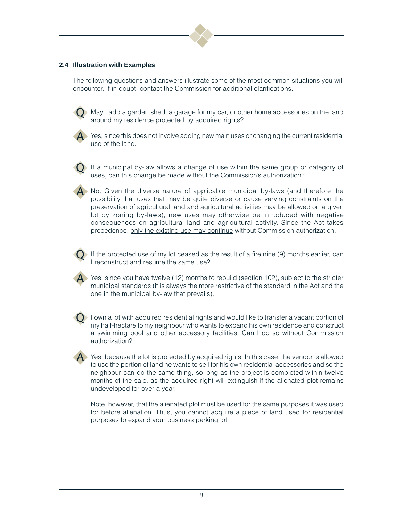

# **2.4 Illustration with Examples**

The following questions and answers illustrate some of the most common situations you will encounter. If in doubt, contact the Commission for additional clarifications.



 $\blacktriangleright$  May I add a garden shed, a garage for my car, or other home accessories on the land around my residence protected by acquired rights?



A Yes, since this does not involve adding new main uses or changing the current residential use of the land.



If a municipal by-law allows a change of use within the same group or category of uses, can this change be made without the Commission's authorization?

A No. Given the diverse nature of applicable municipal by-laws (and therefore the possibility that uses that may be quite diverse or cause varying constraints on the preservation of agricultural land and agricultural activities may be allowed on a given lot by zoning by-laws), new uses may otherwise be introduced with negative consequences on agricultural land and agricultural activity. Since the Act takes precedence, only the existing use may continue without Commission authorization.



If the protected use of my lot ceased as the result of a fire nine  $(9)$  months earlier, can I reconstruct and resume the same use?

 $\blacktriangleright$  Yes, since you have twelve (12) months to rebuild (section 102), subject to the stricter municipal standards (it is always the more restrictive of the standard in the Act and the one in the municipal by-law that prevails).



I own a lot with acquired residential rights and would like to transfer a vacant portion of my half-hectare to my neighbour who wants to expand his own residence and construct a swimming pool and other accessory facilities. Can I do so without Commission authorization?

A Yes, because the lot is protected by acquired rights. In this case, the vendor is allowed to use the portion of land he wants to sell for his own residential accessories and so the neighbour can do the same thing, so long as the project is completed within twelve months of the sale, as the acquired right will extinguish if the alienated plot remains undeveloped for over a year.

Note, however, that the alienated plot must be used for the same purposes it was used for before alienation. Thus, you cannot acquire a piece of land used for residential purposes to expand your business parking lot.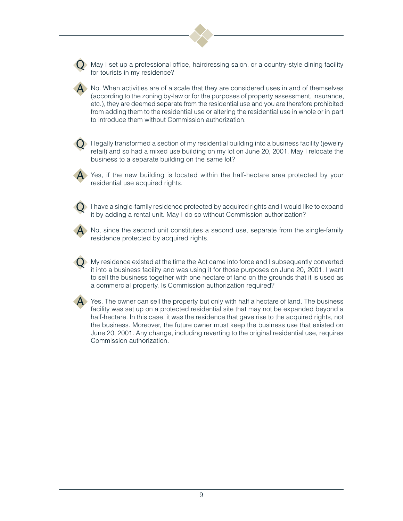$\blacktriangleright$  May I set up a professional office, hairdressing salon, or a country-style dining facility for tourists in my residence?

A No. When activities are of a scale that they are considered uses in and of themselves (according to the zoning by-law or for the purposes of property assessment, insurance, etc.), they are deemed separate from the residential use and you are therefore prohibited from adding them to the residential use or altering the residential use in whole or in part to introduce them without Commission authorization.

I legally transformed a section of my residential building into a business facility (jewelry retail) and so had a mixed use building on my lot on June 20, 2001. May I relocate the business to a separate building on the same lot?

A Yes, if the new building is located within the half-hectare area protected by your residential use acquired rights.

I have a single-family residence protected by acquired rights and I would like to expand it by adding a rental unit. May I do so without Commission authorization?



No, since the second unit constitutes a second use, separate from the single-family residence protected by acquired rights.

My residence existed at the time the Act came into force and I subsequently converted it into a business facility and was using it for those purposes on June 20, 2001. I want to sell the business together with one hectare of land on the grounds that it is used as a commercial property. Is Commission authorization required?



 $\blacktriangle$  Yes. The owner can sell the property but only with half a hectare of land. The business facility was set up on a protected residential site that may not be expanded beyond a half-hectare. In this case, it was the residence that gave rise to the acquired rights, not the business. Moreover, the future owner must keep the business use that existed on June 20, 2001. Any change, including reverting to the original residential use, requires Commission authorization.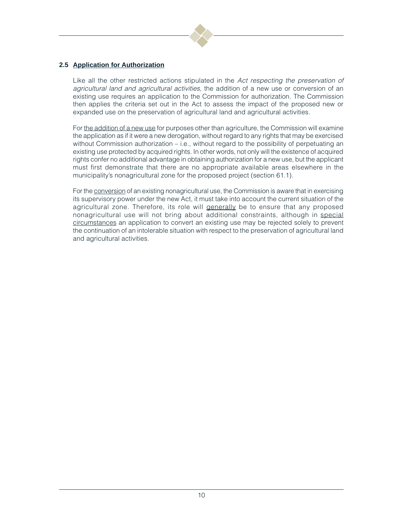

# **2.5 Application for Authorization**

Like all the other restricted actions stipulated in the Act respecting the preservation of agricultural land and agricultural activities, the addition of a new use or conversion of an existing use requires an application to the Commission for authorization. The Commission then applies the criteria set out in the Act to assess the impact of the proposed new or expanded use on the preservation of agricultural land and agricultural activities.

For the addition of a new use for purposes other than agriculture, the Commission will examine the application as if it were a new derogation, without regard to any rights that may be exercised without Commission authorization – i.e., without regard to the possibility of perpetuating an existing use protected by acquired rights. In other words, not only will the existence of acquired rights confer no additional advantage in obtaining authorization for a new use, but the applicant must first demonstrate that there are no appropriate available areas elsewhere in the municipality's nonagricultural zone for the proposed project (section 61.1).

For the conversion of an existing nonagricultural use, the Commission is aware that in exercising its supervisory power under the new Act, it must take into account the current situation of the agricultural zone. Therefore, its role will generally be to ensure that any proposed nonagricultural use will not bring about additional constraints, although in special circumstances an application to convert an existing use may be rejected solely to prevent the continuation of an intolerable situation with respect to the preservation of agricultural land and agricultural activities.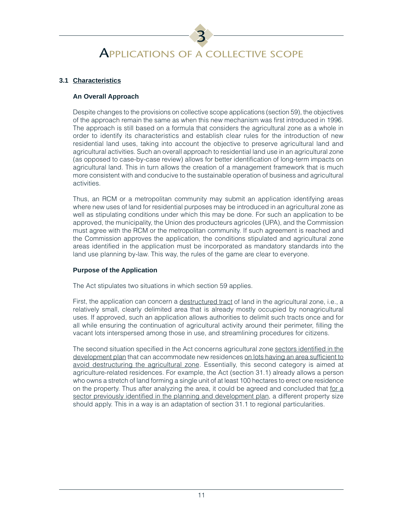# 3 APPLICATIONS OF A COLLECTIVE SCOPE

# **3.1 Characteristics**

# **An Overall Approach**

Despite changes to the provisions on collective scope applications (section 59), the objectives of the approach remain the same as when this new mechanism was first introduced in 1996. The approach is still based on a formula that considers the agricultural zone as a whole in order to identify its characteristics and establish clear rules for the introduction of new residential land uses, taking into account the objective to preserve agricultural land and agricultural activities. Such an overall approach to residential land use in an agricultural zone (as opposed to case-by-case review) allows for better identification of long-term impacts on agricultural land. This in turn allows the creation of a management framework that is much more consistent with and conducive to the sustainable operation of business and agricultural activities.

Thus, an RCM or a metropolitan community may submit an application identifying areas where new uses of land for residential purposes may be introduced in an agricultural zone as well as stipulating conditions under which this may be done. For such an application to be approved, the municipality, the Union des producteurs agricoles (UPA), and the Commission must agree with the RCM or the metropolitan community. If such agreement is reached and the Commission approves the application, the conditions stipulated and agricultural zone areas identified in the application must be incorporated as mandatory standards into the land use planning by-law. This way, the rules of the game are clear to everyone.

# **Purpose of the Application**

The Act stipulates two situations in which section 59 applies.

First, the application can concern a destructured tract of land in the agricultural zone, i.e., a relatively small, clearly delimited area that is already mostly occupied by nonagricultural uses. If approved, such an application allows authorities to delimit such tracts once and for all while ensuring the continuation of agricultural activity around their perimeter, filling the vacant lots interspersed among those in use, and streamlining procedures for citizens.

The second situation specified in the Act concerns agricultural zone sectors identified in the development plan that can accommodate new residences on lots having an area sufficient to avoid destructuring the agricultural zone. Essentially, this second category is aimed at agriculture-related residences. For example, the Act (section 31.1) already allows a person who owns a stretch of land forming a single unit of at least 100 hectares to erect one residence on the property. Thus after analyzing the area, it could be agreed and concluded that for a sector previously identified in the planning and development plan, a different property size should apply. This in a way is an adaptation of section 31.1 to regional particularities.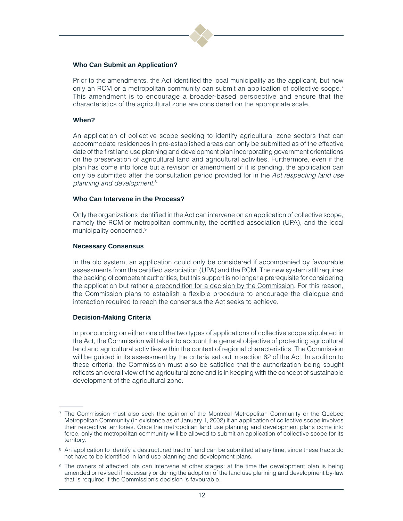

#### **Who Can Submit an Application?**

Prior to the amendments, the Act identified the local municipality as the applicant, but now only an RCM or a metropolitan community can submit an application of collective scope.<sup>7</sup> This amendment is to encourage a broader-based perspective and ensure that the characteristics of the agricultural zone are considered on the appropriate scale.

#### **When?**

An application of collective scope seeking to identify agricultural zone sectors that can accommodate residences in pre-established areas can only be submitted as of the effective date of the first land use planning and development plan incorporating government orientations on the preservation of agricultural land and agricultural activities. Furthermore, even if the plan has come into force but a revision or amendment of it is pending, the application can only be submitted after the consultation period provided for in the Act respecting land use planning and development.<sup>8</sup>

#### **Who Can Intervene in the Process?**

Only the organizations identified in the Act can intervene on an application of collective scope, namely the RCM or metropolitan community, the certified association (UPA), and the local municipality concerned.<sup>9</sup>

#### **Necessary Consensus**

In the old system, an application could only be considered if accompanied by favourable assessments from the certified association (UPA) and the RCM. The new system still requires the backing of competent authorities, but this support is no longer a prerequisite for considering the application but rather a precondition for a decision by the Commission. For this reason, the Commission plans to establish a flexible procedure to encourage the dialogue and interaction required to reach the consensus the Act seeks to achieve.

#### **Decision-Making Criteria**

In pronouncing on either one of the two types of applications of collective scope stipulated in the Act, the Commission will take into account the general objective of protecting agricultural land and agricultural activities within the context of regional characteristics. The Commission will be guided in its assessment by the criteria set out in section 62 of the Act. In addition to these criteria, the Commission must also be satisfied that the authorization being sought reflects an overall view of the agricultural zone and is in keeping with the concept of sustainable development of the agricultural zone.

<sup>7</sup> The Commission must also seek the opinion of the Montréal Metropolitan Community or the Québec Metropolitan Community (in existence as of January 1, 2002) if an application of collective scope involves their respective territories. Once the metropolitan land use planning and development plans come into force, only the metropolitan community will be allowed to submit an application of collective scope for its territory.

<sup>8</sup> An application to identify a destructured tract of land can be submitted at any time, since these tracts do not have to be identified in land use planning and development plans.

<sup>9</sup> The owners of affected lots can intervene at other stages: at the time the development plan is being amended or revised if necessary or during the adoption of the land use planning and development by-law that is required if the Commission's decision is favourable.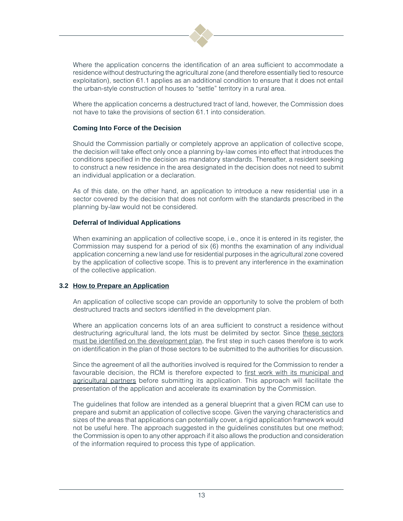

Where the application concerns the identification of an area sufficient to accommodate a residence without destructuring the agricultural zone (and therefore essentially tied to resource exploitation), section 61.1 applies as an additional condition to ensure that it does not entail the urban-style construction of houses to "settle" territory in a rural area.

Where the application concerns a destructured tract of land, however, the Commission does not have to take the provisions of section 61.1 into consideration.

#### **Coming Into Force of the Decision**

Should the Commission partially or completely approve an application of collective scope, the decision will take effect only once a planning by-law comes into effect that introduces the conditions specified in the decision as mandatory standards. Thereafter, a resident seeking to construct a new residence in the area designated in the decision does not need to submit an individual application or a declaration.

As of this date, on the other hand, an application to introduce a new residential use in a sector covered by the decision that does not conform with the standards prescribed in the planning by-law would not be considered.

#### **Deferral of Individual Applications**

When examining an application of collective scope, i.e., once it is entered in its register, the Commission may suspend for a period of six (6) months the examination of any individual application concerning a new land use for residential purposes in the agricultural zone covered by the application of collective scope. This is to prevent any interference in the examination of the collective application.

# **3.2 How to Prepare an Application**

An application of collective scope can provide an opportunity to solve the problem of both destructured tracts and sectors identified in the development plan.

Where an application concerns lots of an area sufficient to construct a residence without destructuring agricultural land, the lots must be delimited by sector. Since these sectors must be identified on the development plan, the first step in such cases therefore is to work on identification in the plan of those sectors to be submitted to the authorities for discussion.

Since the agreement of all the authorities involved is required for the Commission to render a favourable decision, the RCM is therefore expected to first work with its municipal and agricultural partners before submitting its application. This approach will facilitate the presentation of the application and accelerate its examination by the Commission.

The guidelines that follow are intended as a general blueprint that a given RCM can use to prepare and submit an application of collective scope. Given the varying characteristics and sizes of the areas that applications can potentially cover, a rigid application framework would not be useful here. The approach suggested in the guidelines constitutes but one method; the Commission is open to any other approach if it also allows the production and consideration of the information required to process this type of application.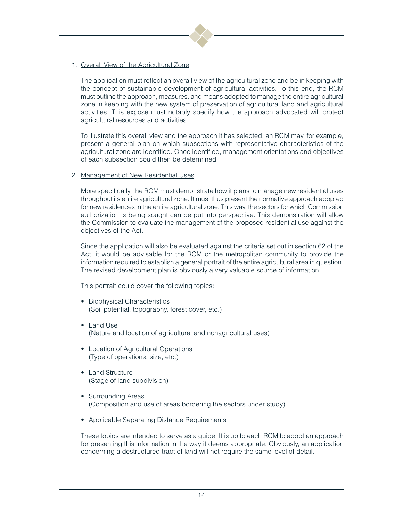

# 1. Overall View of the Agricultural Zone

The application must reflect an overall view of the agricultural zone and be in keeping with the concept of sustainable development of agricultural activities. To this end, the RCM must outline the approach, measures, and means adopted to manage the entire agricultural zone in keeping with the new system of preservation of agricultural land and agricultural activities. This exposé must notably specify how the approach advocated will protect agricultural resources and activities.

To illustrate this overall view and the approach it has selected, an RCM may, for example, present a general plan on which subsections with representative characteristics of the agricultural zone are identified. Once identified, management orientations and objectives of each subsection could then be determined.

#### 2. Management of New Residential Uses

More specifically, the RCM must demonstrate how it plans to manage new residential uses throughout its entire agricultural zone. It must thus present the normative approach adopted for new residences in the entire agricultural zone. This way, the sectors for which Commission authorization is being sought can be put into perspective. This demonstration will allow the Commission to evaluate the management of the proposed residential use against the objectives of the Act.

Since the application will also be evaluated against the criteria set out in section 62 of the Act, it would be advisable for the RCM or the metropolitan community to provide the information required to establish a general portrait of the entire agricultural area in question. The revised development plan is obviously a very valuable source of information.

This portrait could cover the following topics:

- Biophysical Characteristics (Soil potential, topography, forest cover, etc.)
- Land Use (Nature and location of agricultural and nonagricultural uses)
- Location of Agricultural Operations (Type of operations, size, etc.)
- Land Structure (Stage of land subdivision)
- Surrounding Areas (Composition and use of areas bordering the sectors under study)
- Applicable Separating Distance Requirements

These topics are intended to serve as a guide. It is up to each RCM to adopt an approach for presenting this information in the way it deems appropriate. Obviously, an application concerning a destructured tract of land will not require the same level of detail.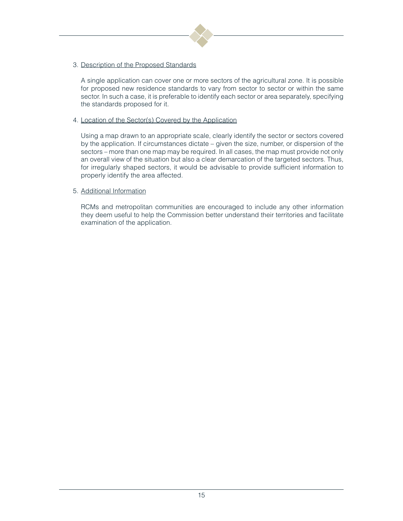

# 3. Description of the Proposed Standards

A single application can cover one or more sectors of the agricultural zone. It is possible for proposed new residence standards to vary from sector to sector or within the same sector. In such a case, it is preferable to identify each sector or area separately, specifying the standards proposed for it.

# 4. Location of the Sector(s) Covered by the Application

Using a map drawn to an appropriate scale, clearly identify the sector or sectors covered by the application. If circumstances dictate – given the size, number, or dispersion of the sectors – more than one map may be required. In all cases, the map must provide not only an overall view of the situation but also a clear demarcation of the targeted sectors. Thus, for irregularly shaped sectors, it would be advisable to provide sufficient information to properly identify the area affected.

# 5. Additional Information

RCMs and metropolitan communities are encouraged to include any other information they deem useful to help the Commission better understand their territories and facilitate examination of the application.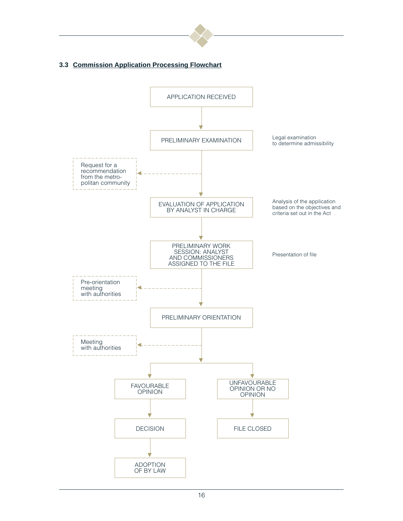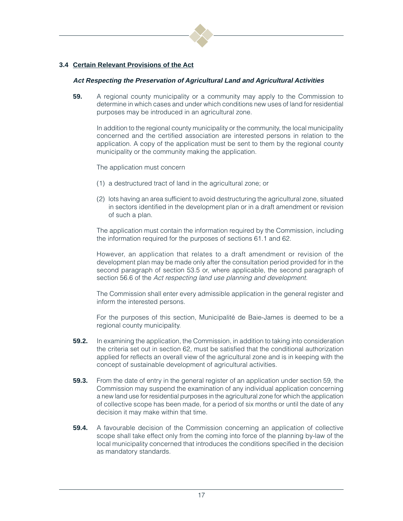![](_page_18_Picture_0.jpeg)

# **3.4 Certain Relevant Provisions of the Act**

#### **Act Respecting the Preservation of Agricultural Land and Agricultural Activities**

**59.** A regional county municipality or a community may apply to the Commission to determine in which cases and under which conditions new uses of land for residential purposes may be introduced in an agricultural zone.

In addition to the regional county municipality or the community, the local municipality concerned and the certified association are interested persons in relation to the application. A copy of the application must be sent to them by the regional county municipality or the community making the application.

The application must concern

- (1) a destructured tract of land in the agricultural zone; or
- (2) lots having an area sufficient to avoid destructuring the agricultural zone, situated in sectors identified in the development plan or in a draft amendment or revision of such a plan.

The application must contain the information required by the Commission, including the information required for the purposes of sections 61.1 and 62.

However, an application that relates to a draft amendment or revision of the development plan may be made only after the consultation period provided for in the second paragraph of section 53.5 or, where applicable, the second paragraph of section 56.6 of the Act respecting land use planning and development.

The Commission shall enter every admissible application in the general register and inform the interested persons.

For the purposes of this section, Municipalité de Baie-James is deemed to be a regional county municipality.

- **59.2.** In examining the application, the Commission, in addition to taking into consideration the criteria set out in section 62, must be satisfied that the conditional authorization applied for reflects an overall view of the agricultural zone and is in keeping with the concept of sustainable development of agricultural activities.
- **59.3.** From the date of entry in the general register of an application under section 59, the Commission may suspend the examination of any individual application concerning a new land use for residential purposes in the agricultural zone for which the application of collective scope has been made, for a period of six months or until the date of any decision it may make within that time.
- **59.4.** A favourable decision of the Commission concerning an application of collective scope shall take effect only from the coming into force of the planning by-law of the local municipality concerned that introduces the conditions specified in the decision as mandatory standards.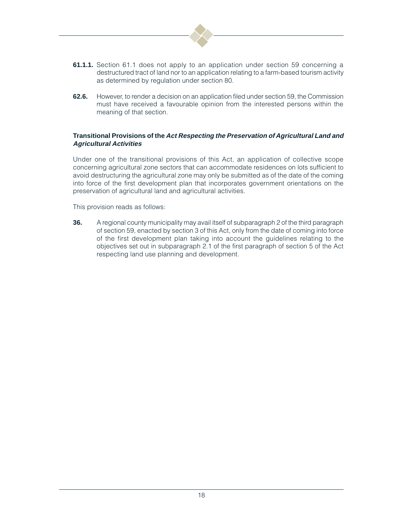![](_page_19_Picture_0.jpeg)

- **61.1.1.** Section 61.1 does not apply to an application under section 59 concerning a destructured tract of land nor to an application relating to a farm-based tourism activity as determined by regulation under section 80.
- **62.6.** However, to render a decision on an application filed under section 59, the Commission must have received a favourable opinion from the interested persons within the meaning of that section.

# **Transitional Provisions of the Act Respecting the Preservation of Agricultural Land and Agricultural Activities**

Under one of the transitional provisions of this Act, an application of collective scope concerning agricultural zone sectors that can accommodate residences on lots sufficient to avoid destructuring the agricultural zone may only be submitted as of the date of the coming into force of the first development plan that incorporates government orientations on the preservation of agricultural land and agricultural activities.

This provision reads as follows:

**36.** A regional county municipality may avail itself of subparagraph 2 of the third paragraph of section 59, enacted by section 3 of this Act, only from the date of coming into force of the first development plan taking into account the guidelines relating to the objectives set out in subparagraph 2.1 of the first paragraph of section 5 of the Act respecting land use planning and development.